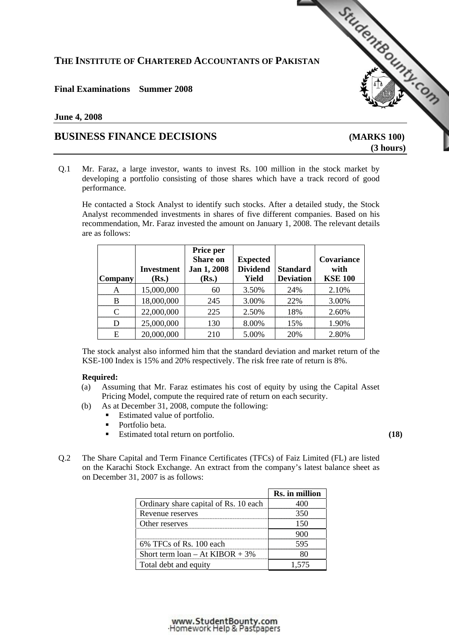# **THE INSTITUTE OF CHARTERED ACCOUNTANTS OF PAKISTAN**

# **Final Examinations Summer 2008**

## **June 4, 2008**

# **BUSINESS FINANCE DECISIONS [\(MARKS 100\)](http://www.studentbounty.com)**

 **(3 hours)** 

StudentBounds Con

Q.1 Mr. Faraz, a large investor, wants to invest Rs. 100 million in the stock market by developing a portfolio consisting of those shares which have a track record of good performance.

 He contacted a Stock Analyst to identify such stocks. After a detailed study, the Stock Analyst recommended investments in shares of five different companies. Based on his recommendation, Mr. Faraz invested the amount on January 1, 2008. The relevant details are as follows:

| <b>Company</b>              | <b>Investment</b><br>(Rs.) | Price per<br><b>Share on</b><br>Jan 1, 2008<br>(Rs.) | <b>Expected</b><br><b>Dividend</b><br><b>Yield</b> | <b>Standard</b><br><b>Deviation</b> | Covariance<br>with<br><b>KSE 100</b> |
|-----------------------------|----------------------------|------------------------------------------------------|----------------------------------------------------|-------------------------------------|--------------------------------------|
| А                           | 15,000,000                 | 60                                                   | 3.50%                                              | 24%                                 | 2.10%                                |
| R                           | 18,000,000                 | 245                                                  | 3.00%                                              | 22%                                 | 3.00%                                |
| $\mathcal{C}_{\mathcal{C}}$ | 22,000,000                 | 225                                                  | 2.50%                                              | 18%                                 | 2.60%                                |
| D                           | 25,000,000                 | 130                                                  | 8.00%                                              | 15%                                 | 1.90%                                |
| E                           | 20,000,000                 | 210                                                  | 5.00%                                              | 20%                                 | 2.80%                                |

 The stock analyst also informed him that the standard deviation and market return of the KSE-100 Index is 15% and 20% respectively. The risk free rate of return is 8%.

#### **Required:**

- (a) Assuming that Mr. Faraz estimates his cost of equity by using the Capital Asset Pricing Model, compute the required rate of return on each security.
- (b) As at December 31, 2008, compute the following:
	- Estimated value of portfolio.
	- Portfolio beta.
	- Estimated total return on portfolio. **(18)** 
		-
- Q.2 The Share Capital and Term Finance Certificates (TFCs) of Faiz Limited (FL) are listed on the Karachi Stock Exchange. An extract from the company's latest balance sheet as on December 31, 2007 is as follows:

|                                       | Rs. in million |
|---------------------------------------|----------------|
| Ordinary share capital of Rs. 10 each |                |
| Revenue reserves                      |                |
| Other reserves                        |                |
|                                       |                |
| $6\%$ TFCs of Rs. 100 each            |                |
| Short term $loan - At KIBOR + 3\%$    |                |
| Total debt and equity                 |                |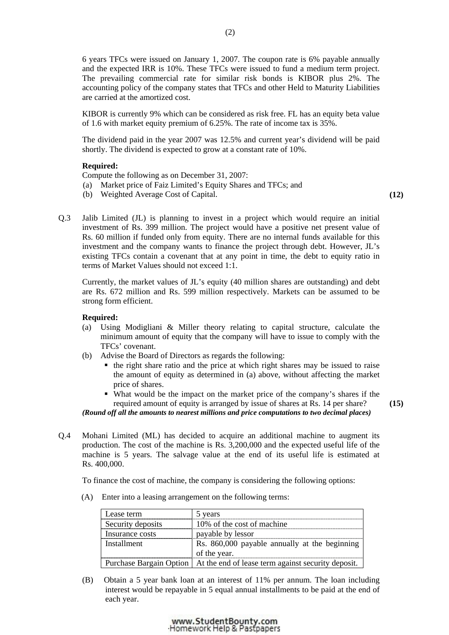6 years TFCs were issued on January 1, 2007. The coupon rate is 6% payable annually and the expected IRR is 10%. These TFCs were issued to fund a medium term project. The prevailing commercial rate for similar risk bonds is KIBOR plus 2%. The accounting policy of the company states that TFCs and other Held to Maturity Liabilities are carried at the amortized cost.

 KIBOR is currently 9% which can be considered as risk free. FL has an equity beta value of 1.6 with market equity premium of 6.25%. The rate of income tax is 35%.

 The dividend paid in the year 2007 was 12.5% and current year's dividend will be paid shortly. The dividend is expected to grow at a constant rate of 10%.

### **Required:**

Compute the following as on December 31, 2007:

- (a) Market price of Faiz Limited's Equity Shares and TFCs; and
- (b) Weighted Average Cost of Capital. **(12)**
- Q.3 Jalib Limited (JL) is planning to invest in a project which would require an initial investment of Rs. 399 million. The project would have a positive net present value of Rs. 60 million if funded only from equity. There are no internal funds available for this investment and the company wants to finance the project through debt. However, JL's existing TFCs contain a covenant that at any point in time, the debt to equity ratio in terms of Market Values should not exceed 1:1.

 Currently, the market values of JL's equity (40 million shares are outstanding) and debt are Rs. 672 million and Rs. 599 million respectively. Markets can be assumed to be strong form efficient.

#### **Required:**

- (a) Using Modigliani & Miller theory relating to capital structure, calculate the minimum amount of equity that the company will have to issue to comply with the TFCs' covenant.
- (b) Advise the Board of Directors as regards the following:
	- the right share ratio and the price at which right shares may be issued to raise the amount of equity as determined in (a) above, without affecting the market price of shares.
	- What would be the impact on the market price of the company's shares if the required amount of equity is arranged by issue of shares at Rs. 14 per share?

*(Round off all the amounts to nearest millions and price computations to two decimal places)*

- **(15)**
- Q.4 Mohani Limited (ML) has decided to acquire an additional machine to augment its production. The cost of the machine is Rs. 3,200,000 and the expected useful life of the machine is 5 years. The salvage value at the end of its useful life is estimated at Rs. 400,000.

To finance the cost of machine, the company is considering the following options:

(A) Enter into a leasing arrangement on the following terms:

| Lease term        | 5 years                                                                      |
|-------------------|------------------------------------------------------------------------------|
| Security deposits | 10% of the cost of machine                                                   |
| Insurance costs   | payable by lessor                                                            |
| Installment       | Rs. 860,000 payable annually at the beginning                                |
|                   | of the year.                                                                 |
|                   | Purchase Bargain Option   At the end of lease term against security deposit. |

 (B) Obtain a 5 year bank loan at an interest of 11% per annum. The loan including interest would be repayable in 5 equal annual installments to be paid at the end of each year.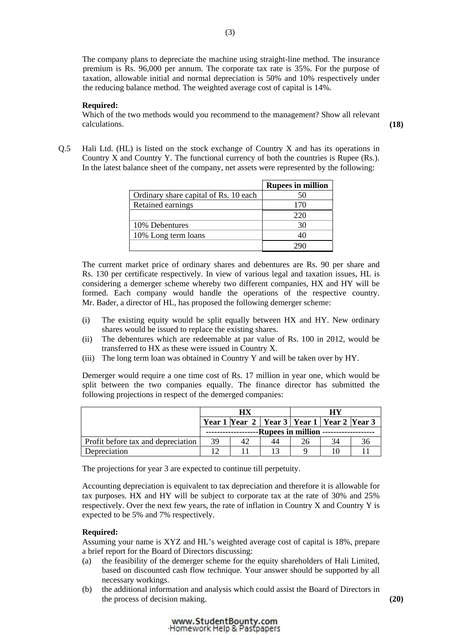The company plans to depreciate the machine using straight-line method. The insurance premium is Rs. 96,000 per annum. The corporate tax rate is 35%. For the purpose of taxation, allowable initial and normal depreciation is 50% and 10% respectively under the reducing balance method. The weighted average cost of capital is 14%.

### **Required:**

Which of the two methods would you recommend to the management? Show all relevant calculations. **(18)**

Q.5 Hali Ltd. (HL) is listed on the stock exchange of Country X and has its operations in Country X and Country Y. The functional currency of both the countries is Rupee (Rs.). In the latest balance sheet of the company, net assets were represented by the following:

|                                       | <b>Rupees in million</b> |
|---------------------------------------|--------------------------|
| Ordinary share capital of Rs. 10 each | 50                       |
| Retained earnings                     | 170                      |
|                                       | 220                      |
| 10% Debentures                        | 30                       |
| 10% Long term loans                   |                          |
|                                       |                          |

 The current market price of ordinary shares and debentures are Rs. 90 per share and Rs. 130 per certificate respectively. In view of various legal and taxation issues, HL is considering a demerger scheme whereby two different companies, HX and HY will be formed. Each company would handle the operations of the respective country. Mr. Bader, a director of HL, has proposed the following demerger scheme:

- (i) The existing equity would be split equally between HX and HY. New ordinary shares would be issued to replace the existing shares.
- (ii) The debentures which are redeemable at par value of Rs. 100 in 2012, would be transferred to HX as these were issued in Country X.
- (iii) The long term loan was obtained in Country Y and will be taken over by HY.

 Demerger would require a one time cost of Rs. 17 million in year one, which would be split between the two companies equally. The finance director has submitted the following projections in respect of the demerged companies:

|                                    |                                          |                                                   |  | НV |  |  |
|------------------------------------|------------------------------------------|---------------------------------------------------|--|----|--|--|
|                                    |                                          | Year 1 Year 2   Year 3   Year 1   Year 2   Year 3 |  |    |  |  |
|                                    | ---Rupees in million ------------------- |                                                   |  |    |  |  |
| Profit before tax and depreciation | 39                                       |                                                   |  | 26 |  |  |
| Depreciation                       |                                          |                                                   |  |    |  |  |

The projections for year 3 are expected to continue till perpetuity.

 Accounting depreciation is equivalent to tax depreciation and therefore it is allowable for tax purposes. HX and HY will be subject to corporate tax at the rate of 30% and 25% respectively. Over the next few years, the rate of inflation in Country X and Country Y is expected to be 5% and 7% respectively.

#### **Required:**

Assuming your name is XYZ and HL's weighted average cost of capital is 18%, prepare a brief report for the Board of Directors discussing:

- (a) the feasibility of the demerger scheme for the equity shareholders of Hali Limited, based on discounted cash flow technique. Your answer should be supported by all necessary workings.
- (b) the additional information and analysis which could assist the Board of Directors in the process of decision making. **(20)**